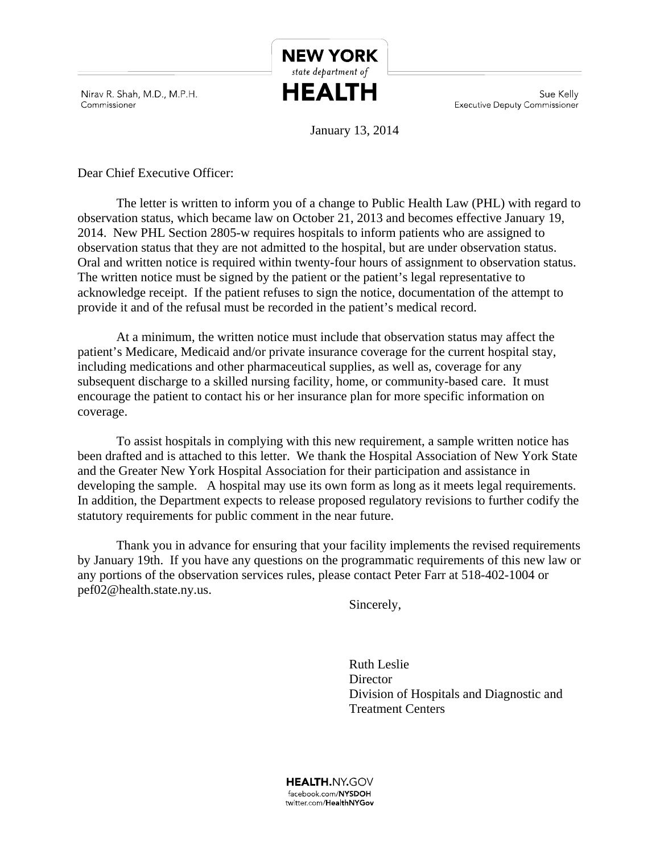Nirav R. Shah, M.D., M.P.H. Commissioner

Sue Kelly **Executive Deputy Commissioner** 

January 13, 2014

**NEW YORK** state department of **HEALTH** 

Dear Chief Executive Officer:

The letter is written to inform you of a change to Public Health Law (PHL) with regard to observation status, which became law on October 21, 2013 and becomes effective January 19, 2014. New PHL Section 2805-w requires hospitals to inform patients who are assigned to observation status that they are not admitted to the hospital, but are under observation status. Oral and written notice is required within twenty-four hours of assignment to observation status. The written notice must be signed by the patient or the patient's legal representative to acknowledge receipt. If the patient refuses to sign the notice, documentation of the attempt to provide it and of the refusal must be recorded in the patient's medical record.

At a minimum, the written notice must include that observation status may affect the patient's Medicare, Medicaid and/or private insurance coverage for the current hospital stay, including medications and other pharmaceutical supplies, as well as, coverage for any subsequent discharge to a skilled nursing facility, home, or community-based care. It must encourage the patient to contact his or her insurance plan for more specific information on coverage.

To assist hospitals in complying with this new requirement, a sample written notice has been drafted and is attached to this letter. We thank the Hospital Association of New York State and the Greater New York Hospital Association for their participation and assistance in developing the sample. A hospital may use its own form as long as it meets legal requirements. In addition, the Department expects to release proposed regulatory revisions to further codify the statutory requirements for public comment in the near future.

Thank you in advance for ensuring that your facility implements the revised requirements by January 19th. If you have any questions on the programmatic requirements of this new law or any portions of the observation services rules, please contact Peter Farr at 518-402-1004 or pef02@health.state.ny.us.

Sincerely,

Ruth Leslie **Director** Division of Hospitals and Diagnostic and Treatment Centers

**HEALTH.NY.GOV** facebook.com/NYSDOH twitter.com/HealthNYGov